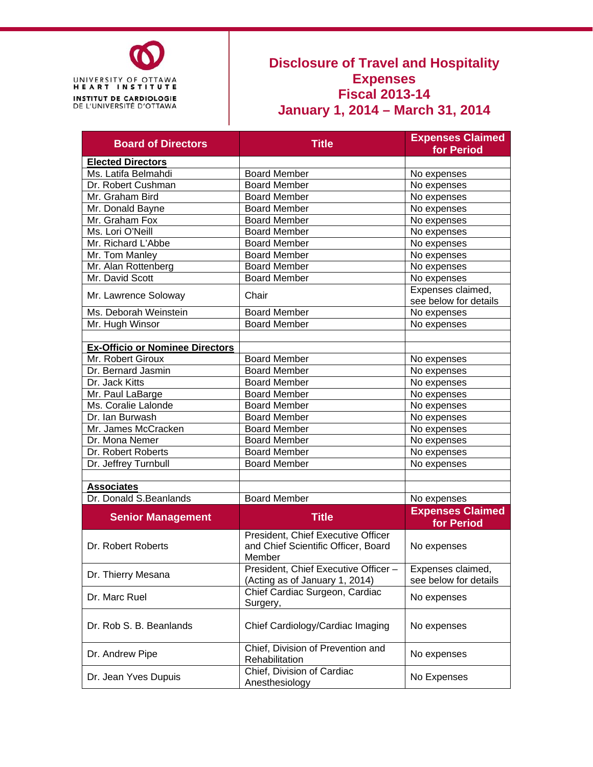

## **Disclosure of Travel and Hospitality Expenses Fiscal 2013-14 January 1, 2014 – March 31, 2014**

| <b>Board of Directors</b>              | <b>Title</b>                         | <b>Expenses Claimed</b> |
|----------------------------------------|--------------------------------------|-------------------------|
|                                        |                                      | for Period              |
| <b>Elected Directors</b>               |                                      |                         |
| Ms. Latifa Belmahdi                    | <b>Board Member</b>                  | No expenses             |
| Dr. Robert Cushman                     | <b>Board Member</b>                  | No expenses             |
| Mr. Graham Bird                        | <b>Board Member</b>                  | No expenses             |
| Mr. Donald Bayne                       | <b>Board Member</b>                  | No expenses             |
| Mr. Graham Fox                         | <b>Board Member</b>                  | No expenses             |
| Ms. Lori O'Neill                       | <b>Board Member</b>                  | No expenses             |
| Mr. Richard L'Abbe                     | <b>Board Member</b>                  | No expenses             |
| Mr. Tom Manley                         | <b>Board Member</b>                  | No expenses             |
| Mr. Alan Rottenberg                    | <b>Board Member</b>                  | No expenses             |
| Mr. David Scott                        | <b>Board Member</b>                  | No expenses             |
|                                        |                                      | Expenses claimed,       |
| Mr. Lawrence Soloway                   | Chair                                | see below for details   |
| Ms. Deborah Weinstein                  | <b>Board Member</b>                  | No expenses             |
| Mr. Hugh Winsor                        | <b>Board Member</b>                  | No expenses             |
|                                        |                                      |                         |
| <b>Ex-Officio or Nominee Directors</b> |                                      |                         |
| Mr. Robert Giroux                      | <b>Board Member</b>                  | No expenses             |
| Dr. Bernard Jasmin                     | <b>Board Member</b>                  | No expenses             |
| Dr. Jack Kitts                         | <b>Board Member</b>                  | No expenses             |
| Mr. Paul LaBarge                       | <b>Board Member</b>                  | No expenses             |
| Ms. Coralie Lalonde                    | <b>Board Member</b>                  | No expenses             |
| Dr. Ian Burwash                        | <b>Board Member</b>                  | No expenses             |
| Mr. James McCracken                    | <b>Board Member</b>                  | No expenses             |
| Dr. Mona Nemer                         | <b>Board Member</b>                  | No expenses             |
| Dr. Robert Roberts                     | <b>Board Member</b>                  | No expenses             |
| Dr. Jeffrey Turnbull                   | <b>Board Member</b>                  | No expenses             |
|                                        |                                      |                         |
| <b>Associates</b>                      |                                      |                         |
| Dr. Donald S.Beanlands                 | <b>Board Member</b>                  | No expenses             |
|                                        |                                      | <b>Expenses Claimed</b> |
| <b>Senior Management</b>               | <b>Title</b>                         | for Period              |
|                                        | President, Chief Executive Officer   |                         |
| Dr. Robert Roberts                     | and Chief Scientific Officer, Board  | No expenses             |
|                                        | Member                               |                         |
|                                        | President, Chief Executive Officer - | Expenses claimed,       |
| Dr. Thierry Mesana                     | (Acting as of January 1, 2014)       | see below for details   |
|                                        | Chief Cardiac Surgeon, Cardiac       |                         |
| Dr. Marc Ruel                          | Surgery,                             | No expenses             |
|                                        |                                      |                         |
| Dr. Rob S. B. Beanlands                | Chief Cardiology/Cardiac Imaging     | No expenses             |
|                                        |                                      |                         |
|                                        | Chief, Division of Prevention and    |                         |
| Dr. Andrew Pipe                        | Rehabilitation                       | No expenses             |
|                                        | Chief, Division of Cardiac           |                         |
| Dr. Jean Yves Dupuis                   | Anesthesiology                       | No Expenses             |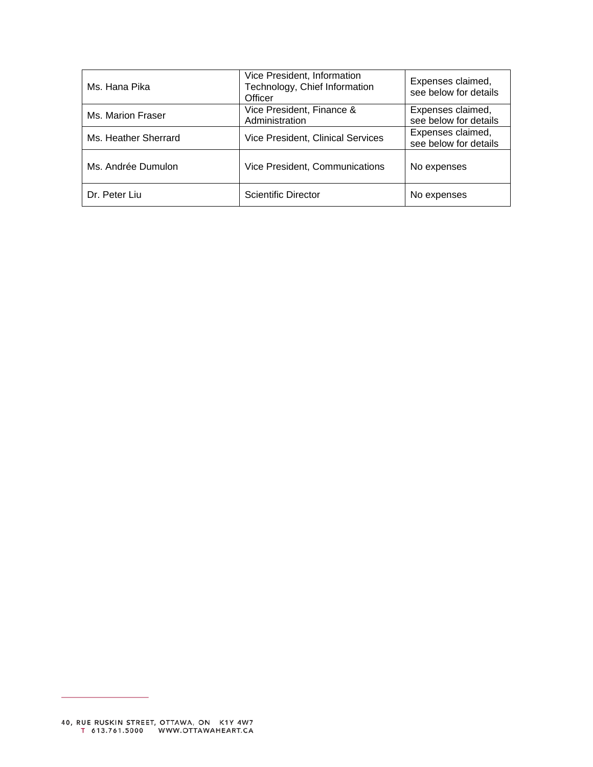| Ms. Hana Pika        | Vice President, Information<br>Technology, Chief Information<br>Officer | Expenses claimed,<br>see below for details |
|----------------------|-------------------------------------------------------------------------|--------------------------------------------|
| Ms. Marion Fraser    | Vice President, Finance &<br>Administration                             | Expenses claimed,<br>see below for details |
| Ms. Heather Sherrard | <b>Vice President, Clinical Services</b>                                | Expenses claimed,<br>see below for details |
| Ms. Andrée Dumulon   | Vice President, Communications                                          | No expenses                                |
| Dr. Peter Liu        | <b>Scientific Director</b>                                              | No expenses                                |

÷.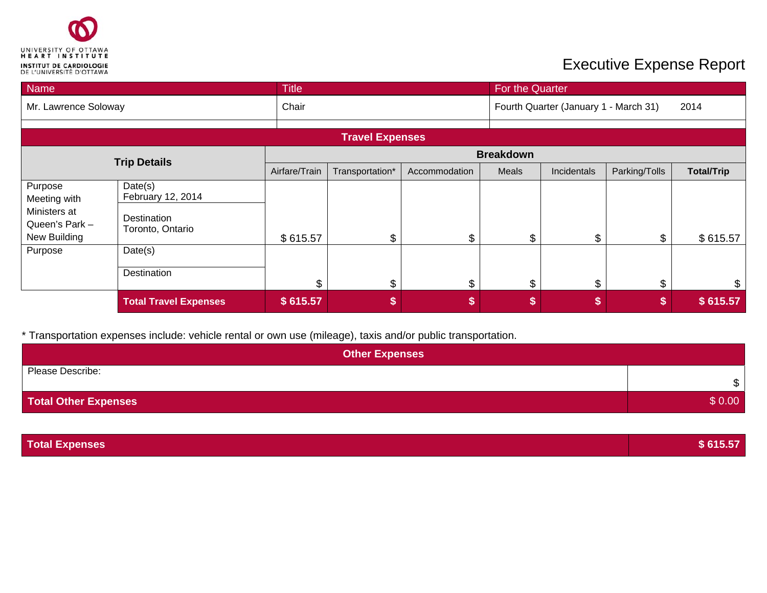

| Name                                           |                                 | <b>Title</b>           |                  |               |       | For the Quarter                       |               |                   |  |
|------------------------------------------------|---------------------------------|------------------------|------------------|---------------|-------|---------------------------------------|---------------|-------------------|--|
| Mr. Lawrence Soloway                           |                                 | Chair                  |                  |               |       | Fourth Quarter (January 1 - March 31) |               |                   |  |
|                                                |                                 | <b>Travel Expenses</b> |                  |               |       |                                       |               |                   |  |
|                                                | <b>Trip Details</b>             |                        | <b>Breakdown</b> |               |       |                                       |               |                   |  |
|                                                |                                 | Airfare/Train          | Transportation*  | Accommodation | Meals | Incidentals                           | Parking/Tolls | <b>Total/Trip</b> |  |
| Purpose<br>Meeting with                        | Date(s)<br>February 12, 2014    |                        |                  |               |       |                                       |               |                   |  |
| Ministers at<br>Queen's Park -<br>New Building | Destination<br>Toronto, Ontario | \$615.57               | \$               | \$            | \$    | \$                                    | \$            | \$615.57          |  |
| Purpose                                        | Date(s)                         |                        |                  |               |       |                                       |               |                   |  |
|                                                | Destination                     | \$                     | \$               | \$            | \$    | \$                                    | \$            | \$                |  |
|                                                | <b>Total Travel Expenses</b>    | \$615.57               | \$               | \$            | \$    | \$                                    | \$            | \$615.57          |  |

| <b>Other Expenses</b>       |        |
|-----------------------------|--------|
| Please Describe:            | \$     |
| <b>Total Other Expenses</b> | \$0.00 |

| <b>Total Expenses</b> | \$615.57 |
|-----------------------|----------|
|                       |          |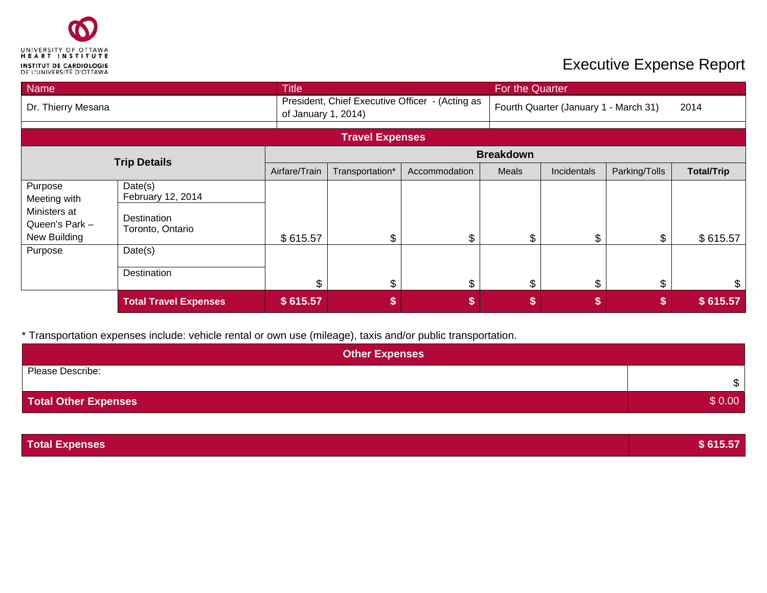

| Name                                           |                                 | <b>Title</b>  |                                                                        |               |                  | For the Quarter                       |               |                   |  |
|------------------------------------------------|---------------------------------|---------------|------------------------------------------------------------------------|---------------|------------------|---------------------------------------|---------------|-------------------|--|
| Dr. Thierry Mesana                             |                                 |               | President, Chief Executive Officer - (Acting as<br>of January 1, 2014) |               |                  | Fourth Quarter (January 1 - March 31) |               |                   |  |
|                                                |                                 |               | <b>Travel Expenses</b>                                                 |               |                  |                                       |               |                   |  |
|                                                |                                 |               |                                                                        |               | <b>Breakdown</b> |                                       |               |                   |  |
| <b>Trip Details</b>                            |                                 | Airfare/Train | Transportation*                                                        | Accommodation | Meals            | Incidentals                           | Parking/Tolls | <b>Total/Trip</b> |  |
| Purpose<br>Meeting with                        | Date(s)<br>February 12, 2014    |               |                                                                        |               |                  |                                       |               |                   |  |
| Ministers at<br>Queen's Park -<br>New Building | Destination<br>Toronto, Ontario | \$615.57      | \$                                                                     | \$            | \$               | \$                                    | \$            | \$615.57          |  |
| Purpose                                        | Date(s)                         |               |                                                                        |               |                  |                                       |               |                   |  |
|                                                | Destination                     | \$            | \$                                                                     | \$            | \$               | \$                                    | \$            | \$                |  |
|                                                | <b>Total Travel Expenses</b>    | \$615.57      | \$                                                                     | \$            | \$               | S                                     | \$            | \$615.57          |  |

| <b>Other Expenses</b>       |               |
|-----------------------------|---------------|
| Please Describe:            | $\mathcal{S}$ |
| <b>Total Other Expenses</b> | \$0.00        |

| <b>Total Expenses</b> | \$615.57 |
|-----------------------|----------|
|                       |          |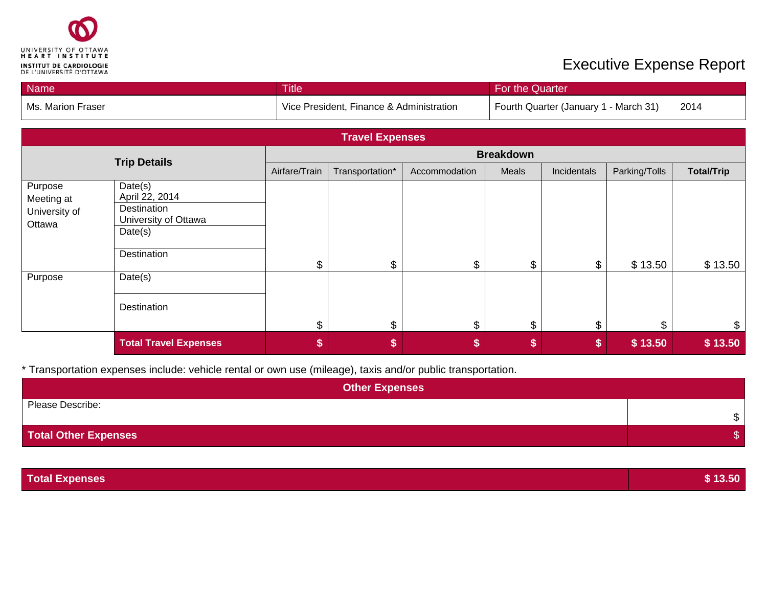

| Name                                             |                                                                                            | <b>Title</b>  |                                          |               | For the Quarter                       |             |               |                   |
|--------------------------------------------------|--------------------------------------------------------------------------------------------|---------------|------------------------------------------|---------------|---------------------------------------|-------------|---------------|-------------------|
| Ms. Marion Fraser                                |                                                                                            |               | Vice President, Finance & Administration |               | Fourth Quarter (January 1 - March 31) |             |               | 2014              |
|                                                  |                                                                                            |               | <b>Travel Expenses</b>                   |               |                                       |             |               |                   |
|                                                  |                                                                                            |               |                                          |               | <b>Breakdown</b>                      |             |               |                   |
|                                                  | <b>Trip Details</b>                                                                        | Airfare/Train | Transportation*                          | Accommodation | Meals                                 | Incidentals | Parking/Tolls | <b>Total/Trip</b> |
| Purpose<br>Meeting at<br>University of<br>Ottawa | Date(s)<br>April 22, 2014<br>Destination<br>University of Ottawa<br>Date(s)<br>Destination | \$            | \$                                       | \$            | \$                                    | \$          | \$13.50       | \$13.50           |
| Purpose                                          | Date(s)<br>Destination                                                                     | \$            | $\$\$                                    | \$            | \$                                    | \$          | \$            | $\boldsymbol{\$}$ |
|                                                  | <b>Total Travel Expenses</b>                                                               | \$            | \$                                       | \$            | \$                                    | \$          | \$13.50       | \$13.50           |

| <b>Other Expenses</b> |    |
|-----------------------|----|
| Please Describe:      | \$ |
| Total Other Expenses  |    |

| \$13.50 |
|---------|
|         |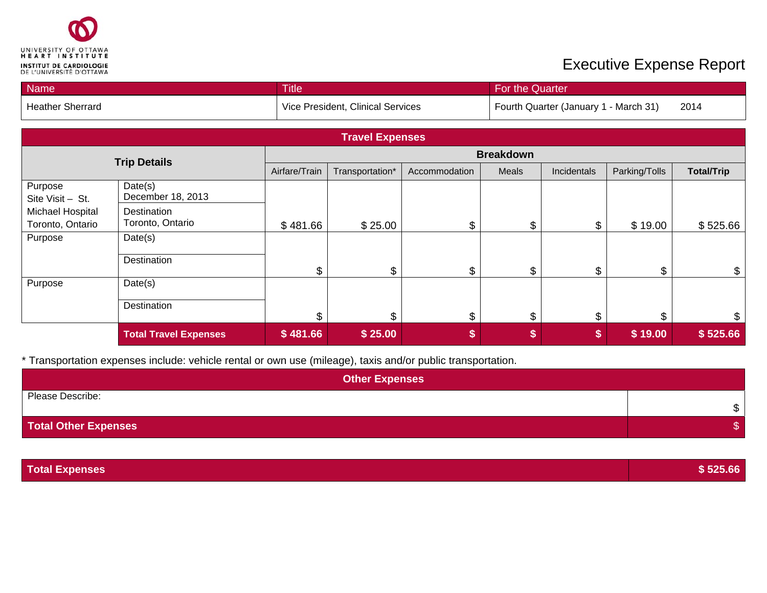

| Name                                 |                                 | <b>Title</b>  |                                   |               | For the Quarter  |                                       |               |                   |
|--------------------------------------|---------------------------------|---------------|-----------------------------------|---------------|------------------|---------------------------------------|---------------|-------------------|
| <b>Heather Sherrard</b>              |                                 |               | Vice President, Clinical Services |               |                  | Fourth Quarter (January 1 - March 31) |               |                   |
|                                      |                                 |               | <b>Travel Expenses</b>            |               |                  |                                       |               |                   |
|                                      |                                 |               |                                   |               | <b>Breakdown</b> |                                       |               |                   |
|                                      | <b>Trip Details</b>             | Airfare/Train | Transportation*                   | Accommodation | Meals            | Incidentals                           | Parking/Tolls | <b>Total/Trip</b> |
| Purpose<br>Site Visit - St.          | Date(s)<br>December 18, 2013    |               |                                   |               |                  |                                       |               |                   |
| Michael Hospital<br>Toronto, Ontario | Destination<br>Toronto, Ontario | \$481.66      | \$25.00                           | \$            | \$               | \$                                    | \$19.00       | \$525.66          |
| Purpose                              | Date(s)                         |               |                                   |               |                  |                                       |               |                   |
|                                      | Destination                     | \$            | \$                                | \$            | \$               | \$                                    | \$            | \$                |
| Purpose                              | Date(s)                         |               |                                   |               |                  |                                       |               |                   |
|                                      | Destination                     | \$            | \$                                | \$            | \$               | \$                                    | \$            | \$                |
|                                      | <b>Total Travel Expenses</b>    | \$481.66      | \$25.00                           | \$            | \$               | \$                                    | \$19.00       | \$525.66          |

| <b>Other Expenses</b>       |              |  |  |  |  |
|-----------------------------|--------------|--|--|--|--|
| Please Describe:            | $\mathbb{S}$ |  |  |  |  |
| <b>Total Other Expenses</b> | จ            |  |  |  |  |